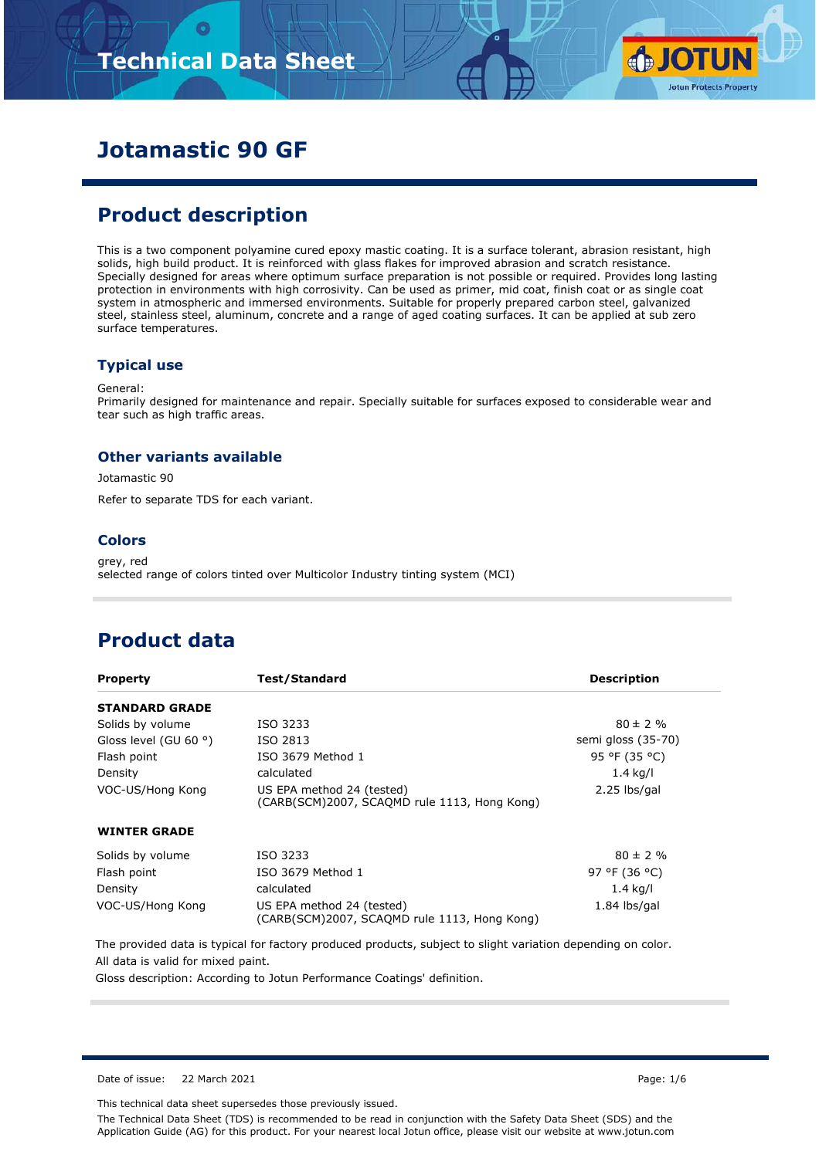# **Technical Data Sheet**



### **Jotamastic 90 GF**

### **Product description**

This is a two component polyamine cured epoxy mastic coating. It is a surface tolerant, abrasion resistant, high solids, high build product. It is reinforced with glass flakes for improved abrasion and scratch resistance. Specially designed for areas where optimum surface preparation is not possible or required. Provides long lasting protection in environments with high corrosivity. Can be used as primer, mid coat, finish coat or as single coat system in atmospheric and immersed environments. Suitable for properly prepared carbon steel, galvanized steel, stainless steel, aluminum, concrete and a range of aged coating surfaces. It can be applied at sub zero surface temperatures.

#### **Typical use**

General:

Primarily designed for maintenance and repair. Specially suitable for surfaces exposed to considerable wear and tear such as high traffic areas.

#### **Other variants available**

Jotamastic 90

Refer to separate TDS for each variant.

#### **Colors**

grey, red selected range of colors tinted over Multicolor Industry tinting system (MCI)

### **Product data**

| <b>Property</b>       | Test/Standard                                                                             | <b>Description</b> |
|-----------------------|-------------------------------------------------------------------------------------------|--------------------|
| <b>STANDARD GRADE</b> |                                                                                           |                    |
| Solids by volume      | ISO 3233                                                                                  | $80 \pm 2 \%$      |
| Gloss level (GU 60 °) | ISO 2813                                                                                  | semi gloss (35-70) |
| Flash point           | ISO 3679 Method 1                                                                         | 95 °F (35 °C)      |
| Density               | calculated                                                                                | $1.4$ kg/l         |
| VOC-US/Hong Kong      | US EPA method 24 (tested)<br>2.25 lbs/gal<br>(CARB(SCM)2007, SCAOMD rule 1113, Hong Kong) |                    |
| <b>WINTER GRADE</b>   |                                                                                           |                    |
| Solids by volume      | ISO 3233                                                                                  | $80 \pm 2 \%$      |
| Flash point           | ISO 3679 Method 1                                                                         | 97 °F (36 °C)      |
| Density               | calculated                                                                                | 1.4 kg/l           |
| VOC-US/Hong Kong      | US EPA method 24 (tested)<br>(CARB(SCM)2007, SCAQMD rule 1113, Hong Kong)                 | $1.84$ lbs/gal     |

The provided data is typical for factory produced products, subject to slight variation depending on color. All data is valid for mixed paint.

Gloss description: According to Jotun Performance Coatings' definition.

Date of issue: 22 March 2021 **Page: 1/6** 

This technical data sheet supersedes those previously issued.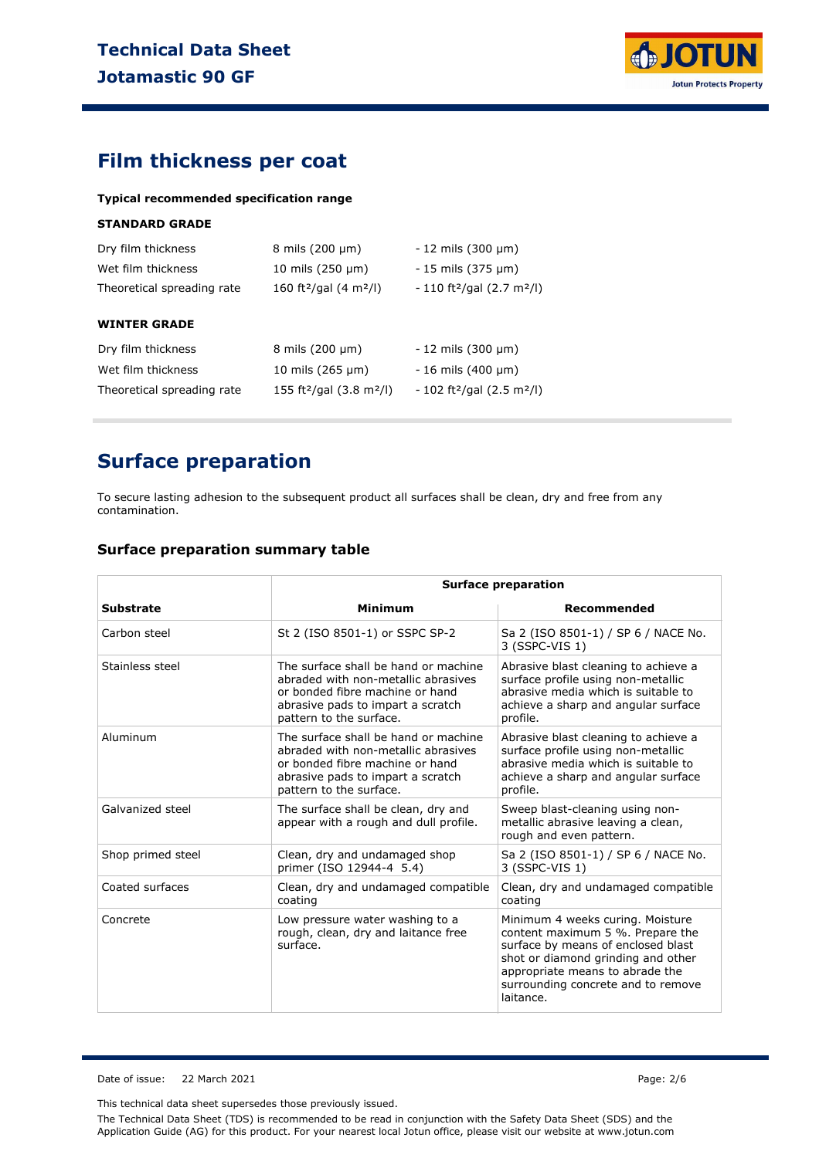

### **Film thickness per coat**

**Typical recommended specification range**

#### **STANDARD GRADE**

| Dry film thickness         | 8 mils $(200 \mu m)$                            | $-12$ mils (300 $\mu$ m)                            |
|----------------------------|-------------------------------------------------|-----------------------------------------------------|
| Wet film thickness         | 10 mils $(250 \mu m)$                           | $-15$ mils (375 $\mu$ m)                            |
| Theoretical spreading rate | 160 ft <sup>2</sup> /gal (4 m <sup>2</sup> /l)  | $-110$ ft <sup>2</sup> /gal (2.7 m <sup>2</sup> /l) |
|                            |                                                 |                                                     |
| <b>WINTER GRADE</b>        |                                                 |                                                     |
| Dry film thickness         | $8 \text{ miles}$ (200 $\mu$ m)                 | $-12$ mils (300 $\mu$ m)                            |
| Wet film thickness         | 10 mils $(265 \mu m)$                           | $-16$ mils (400 $\mu$ m)                            |
| Theoretical spreading rate | 155 ft <sup>2</sup> /gal $(3.8 \text{ m}^2$ /l) | $-102$ ft <sup>2</sup> /gal (2.5 m <sup>2</sup> /l) |
|                            |                                                 |                                                     |

### **Surface preparation**

To secure lasting adhesion to the subsequent product all surfaces shall be clean, dry and free from any contamination.

#### **Surface preparation summary table**

|                   | <b>Surface preparation</b>                                                                                                                                                     |                                                                                                                                                                                                                                        |  |  |  |
|-------------------|--------------------------------------------------------------------------------------------------------------------------------------------------------------------------------|----------------------------------------------------------------------------------------------------------------------------------------------------------------------------------------------------------------------------------------|--|--|--|
| <b>Substrate</b>  | <b>Minimum</b>                                                                                                                                                                 | Recommended                                                                                                                                                                                                                            |  |  |  |
| Carbon steel      | St 2 (ISO 8501-1) or SSPC SP-2                                                                                                                                                 | Sa 2 (ISO 8501-1) / SP 6 / NACE No.<br>3 (SSPC-VIS 1)                                                                                                                                                                                  |  |  |  |
| Stainless steel   | The surface shall be hand or machine<br>abraded with non-metallic abrasives<br>or bonded fibre machine or hand<br>abrasive pads to impart a scratch<br>pattern to the surface. | Abrasive blast cleaning to achieve a<br>surface profile using non-metallic<br>abrasive media which is suitable to<br>achieve a sharp and angular surface<br>profile.                                                                   |  |  |  |
| Aluminum          | The surface shall be hand or machine<br>abraded with non-metallic abrasives<br>or bonded fibre machine or hand<br>abrasive pads to impart a scratch<br>pattern to the surface. | Abrasive blast cleaning to achieve a<br>surface profile using non-metallic<br>abrasive media which is suitable to<br>achieve a sharp and angular surface<br>profile.                                                                   |  |  |  |
| Galvanized steel  | The surface shall be clean, dry and<br>appear with a rough and dull profile.                                                                                                   | Sweep blast-cleaning using non-<br>metallic abrasive leaving a clean,<br>rough and even pattern.                                                                                                                                       |  |  |  |
| Shop primed steel | Clean, dry and undamaged shop<br>primer (ISO 12944-4 5.4)                                                                                                                      | Sa 2 (ISO 8501-1) / SP 6 / NACE No.<br>3 (SSPC-VIS 1)                                                                                                                                                                                  |  |  |  |
| Coated surfaces   | Clean, dry and undamaged compatible<br>coating                                                                                                                                 | Clean, dry and undamaged compatible<br>coating                                                                                                                                                                                         |  |  |  |
| Concrete          | Low pressure water washing to a<br>rough, clean, dry and laitance free<br>surface.                                                                                             | Minimum 4 weeks curing. Moisture<br>content maximum 5 %. Prepare the<br>surface by means of enclosed blast<br>shot or diamond grinding and other<br>appropriate means to abrade the<br>surrounding concrete and to remove<br>laitance. |  |  |  |

Date of issue: 22 March 2021 Page: 2/6

This technical data sheet supersedes those previously issued.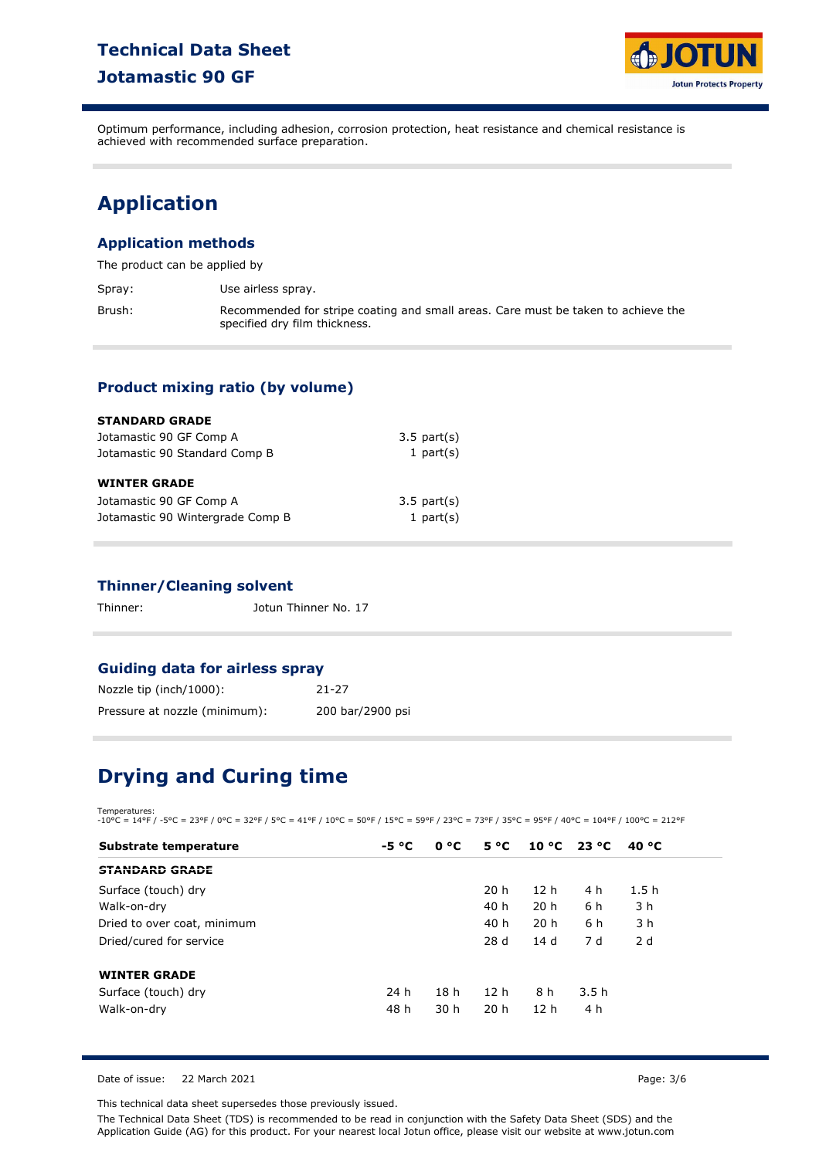### **Technical Data Sheet Jotamastic 90 GF**



Optimum performance, including adhesion, corrosion protection, heat resistance and chemical resistance is achieved with recommended surface preparation.

# **Application**

#### **Application methods**

The product can be applied by

Spray: Use airless spray.

Brush: Recommended for stripe coating and small areas. Care must be taken to achieve the specified dry film thickness.

#### **Product mixing ratio (by volume)**

| <b>STANDARD GRADE</b>            |                  |  |
|----------------------------------|------------------|--|
| Jotamastic 90 GF Comp A          | $3.5$ part $(s)$ |  |
| Jotamastic 90 Standard Comp B    | 1 part $(s)$     |  |
| <b>WINTER GRADE</b>              |                  |  |
| Jotamastic 90 GF Comp A          | $3.5$ part $(s)$ |  |
| Jotamastic 90 Wintergrade Comp B | 1 part $(s)$     |  |

#### **Thinner/Cleaning solvent**

Thinner: Jotun Thinner No. 17

#### **Guiding data for airless spray**

| Nozzle tip (inch/1000):       | $21 - 27$        |
|-------------------------------|------------------|
| Pressure at nozzle (minimum): | 200 bar/2900 psi |

# **Drying and Curing time**

Temperatures: -10°C = 14°F / -5°C = 23°F / 0°C = 32°F / 5°C = 41°F / 10°C = 50°F / 15°C = 59°F / 23°C = 73°F / 35°C = 95°F / 40°C = 104°F / 100°C = 212°F

| Substrate temperature       | -5 °C | 0 °C            | $5^{\circ}C$    | 10 °C 23 °C     |      | 40 °C |
|-----------------------------|-------|-----------------|-----------------|-----------------|------|-------|
| <b>STANDARD GRADE</b>       |       |                 |                 |                 |      |       |
| Surface (touch) dry         |       |                 | 20h             | 12 <sub>h</sub> | 4 h  | 1.5h  |
| Walk-on-dry                 |       |                 | 40 h            | 20 <sub>h</sub> | 6 h  | 3 h   |
| Dried to over coat, minimum |       |                 | 40 h            | 20h             | 6 h  | 3 h   |
| Dried/cured for service     |       |                 | 28 d            | 14 d            | 7 d  | 2d    |
| <b>WINTER GRADE</b>         |       |                 |                 |                 |      |       |
| Surface (touch) dry         | 24 h  | 18 <sub>h</sub> | 12 <sub>h</sub> | 8 h             | 3.5h |       |
| Walk-on-dry                 | 48 h  | 30 <sub>h</sub> | 20 <sub>h</sub> | 12 <sub>h</sub> | 4 h  |       |

Date of issue: 22 March 2021 **Page: 3/6** 

This technical data sheet supersedes those previously issued.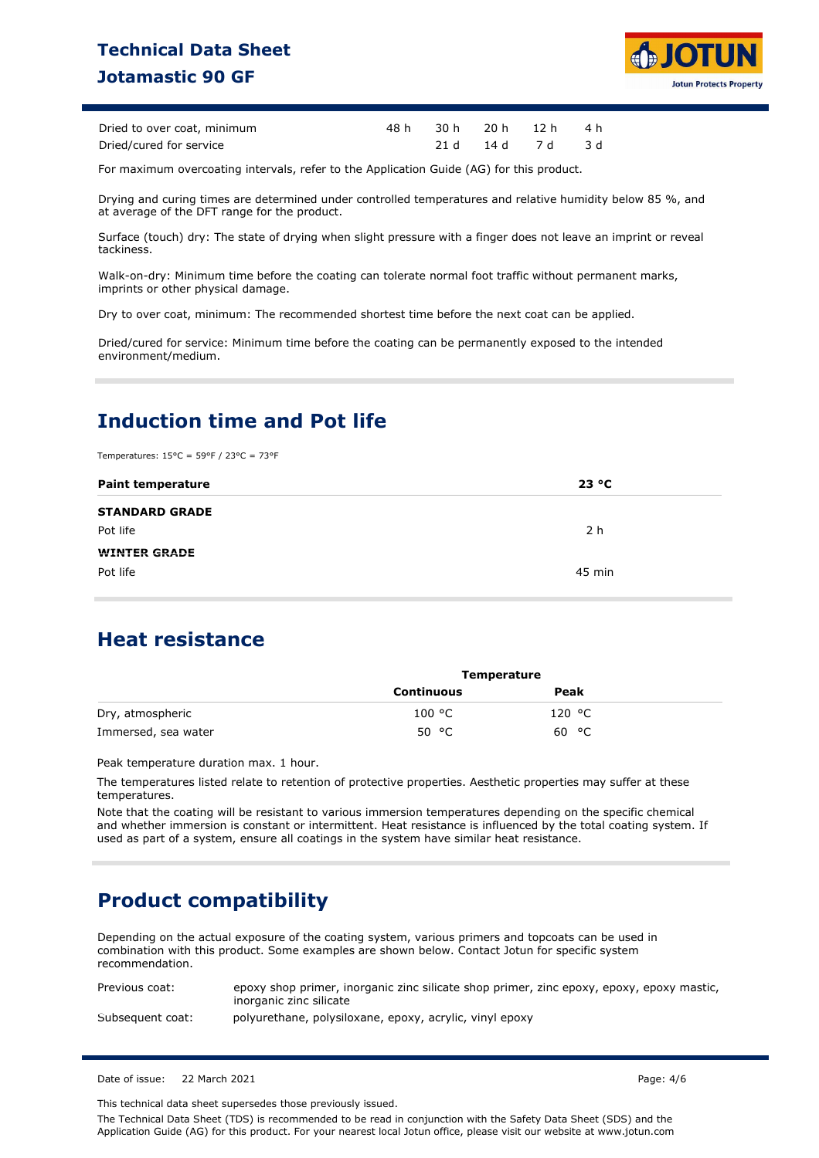### **Technical Data Sheet Jotamastic 90 GF**



| Dried to over coat, minimum |  | 48h 30h 20h 12h 4h |  |
|-----------------------------|--|--------------------|--|
| Dried/cured for service     |  | 21 d 14 d 7 d 3 d  |  |

For maximum overcoating intervals, refer to the Application Guide (AG) for this product.

Drying and curing times are determined under controlled temperatures and relative humidity below 85 %, and at average of the DFT range for the product.

Surface (touch) dry: The state of drying when slight pressure with a finger does not leave an imprint or reveal tackiness.

Walk-on-dry: Minimum time before the coating can tolerate normal foot traffic without permanent marks, imprints or other physical damage.

Dry to over coat, minimum: The recommended shortest time before the next coat can be applied.

Dried/cured for service: Minimum time before the coating can be permanently exposed to the intended environment/medium.

### **Induction time and Pot life**

Temperatures: 15°C = 59°F / 23°C = 73°F

| <b>Paint temperature</b> | 23 °C  |
|--------------------------|--------|
| <b>STANDARD GRADE</b>    |        |
| Pot life                 | 2 h    |
| <b>WINTER GRADE</b>      |        |
| Pot life                 | 45 min |

### **Heat resistance**

|                     | Temperature       |        |  |
|---------------------|-------------------|--------|--|
|                     | <b>Continuous</b> | Peak   |  |
| Dry, atmospheric    | 100 °C            | 120 °C |  |
| Immersed, sea water | 50 °C             | 60 °C  |  |

Peak temperature duration max. 1 hour.

The temperatures listed relate to retention of protective properties. Aesthetic properties may suffer at these temperatures.

Note that the coating will be resistant to various immersion temperatures depending on the specific chemical and whether immersion is constant or intermittent. Heat resistance is influenced by the total coating system. If used as part of a system, ensure all coatings in the system have similar heat resistance.

### **Product compatibility**

Depending on the actual exposure of the coating system, various primers and topcoats can be used in combination with this product. Some examples are shown below. Contact Jotun for specific system recommendation.

| Previous coat:   | epoxy shop primer, inorganic zinc silicate shop primer, zinc epoxy, epoxy, epoxy mastic,<br>inorganic zinc silicate |
|------------------|---------------------------------------------------------------------------------------------------------------------|
| Subsequent coat: | polyurethane, polysiloxane, epoxy, acrylic, vinyl epoxy                                                             |

Date of issue: 22 March 2021 Page: 4/6

This technical data sheet supersedes those previously issued.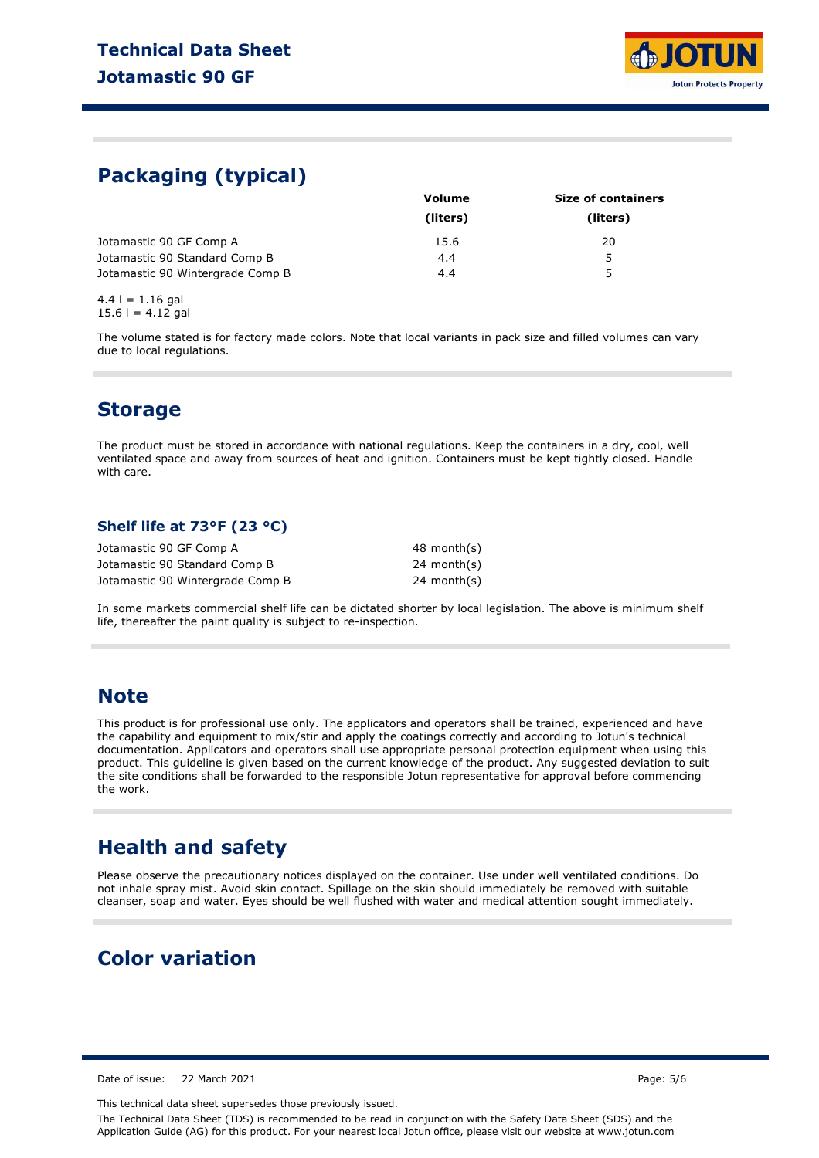

### **Packaging (typical)**

| <b>Volume</b> | <b>Size of containers</b> |  |  |
|---------------|---------------------------|--|--|
| (liters)      | (liters)                  |  |  |
| 15.6          | 20                        |  |  |
| 4.4           | 5                         |  |  |
| 4.4           | 5                         |  |  |
|               |                           |  |  |

 $4.4$  l = 1.16 gal  $15.6$  l = 4.12 gal

The volume stated is for factory made colors. Note that local variants in pack size and filled volumes can vary due to local regulations.

### **Storage**

The product must be stored in accordance with national regulations. Keep the containers in a dry, cool, well ventilated space and away from sources of heat and ignition. Containers must be kept tightly closed. Handle with care.

#### **Shelf life at 73°F (23 °C)**

| Jotamastic 90 GF Comp A          | 48 month(s) |
|----------------------------------|-------------|
| Jotamastic 90 Standard Comp B    | 24 month(s) |
| Jotamastic 90 Wintergrade Comp B | 24 month(s) |

In some markets commercial shelf life can be dictated shorter by local legislation. The above is minimum shelf life, thereafter the paint quality is subject to re-inspection.

### **Note**

This product is for professional use only. The applicators and operators shall be trained, experienced and have the capability and equipment to mix/stir and apply the coatings correctly and according to Jotun's technical documentation. Applicators and operators shall use appropriate personal protection equipment when using this product. This guideline is given based on the current knowledge of the product. Any suggested deviation to suit the site conditions shall be forwarded to the responsible Jotun representative for approval before commencing the work.

### **Health and safety**

Please observe the precautionary notices displayed on the container. Use under well ventilated conditions. Do not inhale spray mist. Avoid skin contact. Spillage on the skin should immediately be removed with suitable cleanser, soap and water. Eyes should be well flushed with water and medical attention sought immediately.

### **Color variation**

Date of issue: 22 March 2021 Page: 5/6

This technical data sheet supersedes those previously issued.